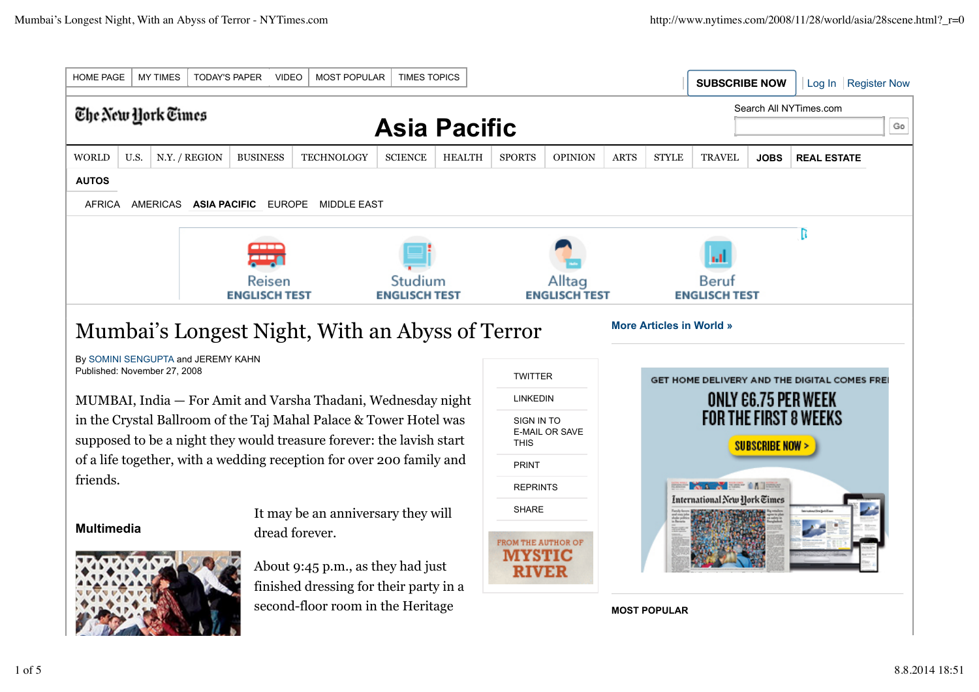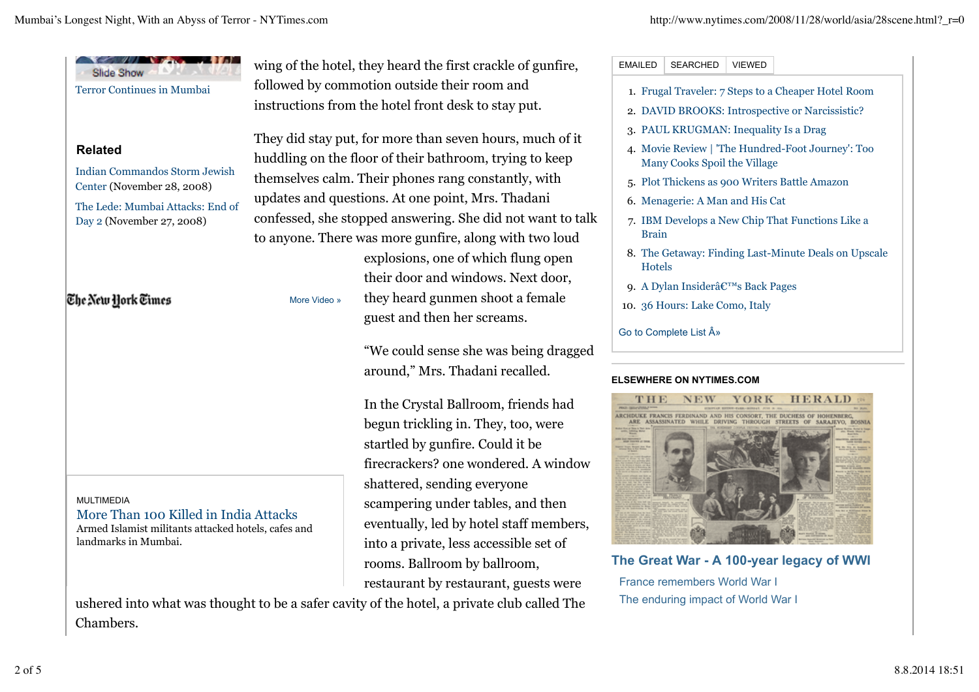| <b>Slide Show</b>                                                                                                                         |                                                                                                                                                                            | wing of the hotel, they heard the first crackle of gunfire,           | <b>EMAILED</b><br><b>SEARCHED</b><br><b>VIEWED</b>                                             |
|-------------------------------------------------------------------------------------------------------------------------------------------|----------------------------------------------------------------------------------------------------------------------------------------------------------------------------|-----------------------------------------------------------------------|------------------------------------------------------------------------------------------------|
| <b>Terror Continues in Mumbai</b>                                                                                                         | followed by commotion outside their room and                                                                                                                               |                                                                       | 1. Frugal Traveler: 7 Steps to a Cheaper Hotel Room                                            |
|                                                                                                                                           | instructions from the hotel front desk to stay put.                                                                                                                        |                                                                       | 2. DAVID BROOKS: Introspective or Narcissistic?                                                |
|                                                                                                                                           | They did stay put, for more than seven hours, much of it<br>huddling on the floor of their bathroom, trying to keep<br>themselves calm. Their phones rang constantly, with |                                                                       | 3. PAUL KRUGMAN: Inequality Is a Drag                                                          |
| <b>Related</b>                                                                                                                            |                                                                                                                                                                            |                                                                       | 4. Movie Review   'The Hundred-Foot Journey': Too<br>Many Cooks Spoil the Village              |
| <b>Indian Commandos Storm Jewish</b>                                                                                                      |                                                                                                                                                                            |                                                                       | 5. Plot Thickens as 900 Writers Battle Amazon                                                  |
| Center (November 28, 2008)<br>The Lede: Mumbai Attacks: End of<br>Day 2 (November 27, 2008)<br>The New York Times                         | updates and questions. At one point, Mrs. Thadani                                                                                                                          |                                                                       | 6. Menagerie: A Man and His Cat                                                                |
|                                                                                                                                           | confessed, she stopped answering. She did not want to talk                                                                                                                 |                                                                       | 7. IBM Develops a New Chip That Functions Like a                                               |
|                                                                                                                                           | to anyone. There was more gunfire, along with two loud                                                                                                                     |                                                                       | <b>Brain</b>                                                                                   |
|                                                                                                                                           |                                                                                                                                                                            | explosions, one of which flung open                                   | 8. The Getaway: Finding Last-Minute Deals on Upscale<br><b>Hotels</b>                          |
|                                                                                                                                           |                                                                                                                                                                            | their door and windows. Next door,                                    | 9. A Dylan Insider's Back Pages                                                                |
|                                                                                                                                           | More Video »                                                                                                                                                               | they heard gunmen shoot a female                                      | 10. 36 Hours: Lake Como, Italy                                                                 |
|                                                                                                                                           |                                                                                                                                                                            | guest and then her screams.                                           | Go to Complete List »                                                                          |
|                                                                                                                                           |                                                                                                                                                                            | "We could sense she was being dragged                                 |                                                                                                |
|                                                                                                                                           |                                                                                                                                                                            | around," Mrs. Thadani recalled.                                       |                                                                                                |
|                                                                                                                                           |                                                                                                                                                                            |                                                                       | <b>ELSEWHERE ON NYTIMES.COM</b>                                                                |
|                                                                                                                                           |                                                                                                                                                                            | In the Crystal Ballroom, friends had                                  | Y O R K<br>HERALD<br>NEW<br>RCHDUKE FRANCIS FERDINAND AND HIS CONSORT, THE DUCHESS OF HOHENBER |
|                                                                                                                                           |                                                                                                                                                                            | begun trickling in. They, too, were                                   | ARE ASSASSINATED WHILE DRIVING                                                                 |
|                                                                                                                                           |                                                                                                                                                                            | startled by gunfire. Could it be                                      |                                                                                                |
|                                                                                                                                           |                                                                                                                                                                            | firecrackers? one wondered. A window                                  |                                                                                                |
|                                                                                                                                           |                                                                                                                                                                            | shattered, sending everyone                                           |                                                                                                |
| <b>MULTIMEDIA</b><br>More Than 100 Killed in India Attacks<br>Armed Islamist militants attacked hotels, cafes and<br>landmarks in Mumbai. |                                                                                                                                                                            | scampering under tables, and then                                     |                                                                                                |
|                                                                                                                                           |                                                                                                                                                                            | eventually, led by hotel staff members,                               |                                                                                                |
|                                                                                                                                           |                                                                                                                                                                            | into a private, less accessible set of                                | The Great War - A 100-year legacy of WWI                                                       |
|                                                                                                                                           |                                                                                                                                                                            | rooms. Ballroom by ballroom,<br>restaurant by restaurant, guests were | France remembers World War I                                                                   |
|                                                                                                                                           |                                                                                                                                                                            |                                                                       |                                                                                                |

Chambers.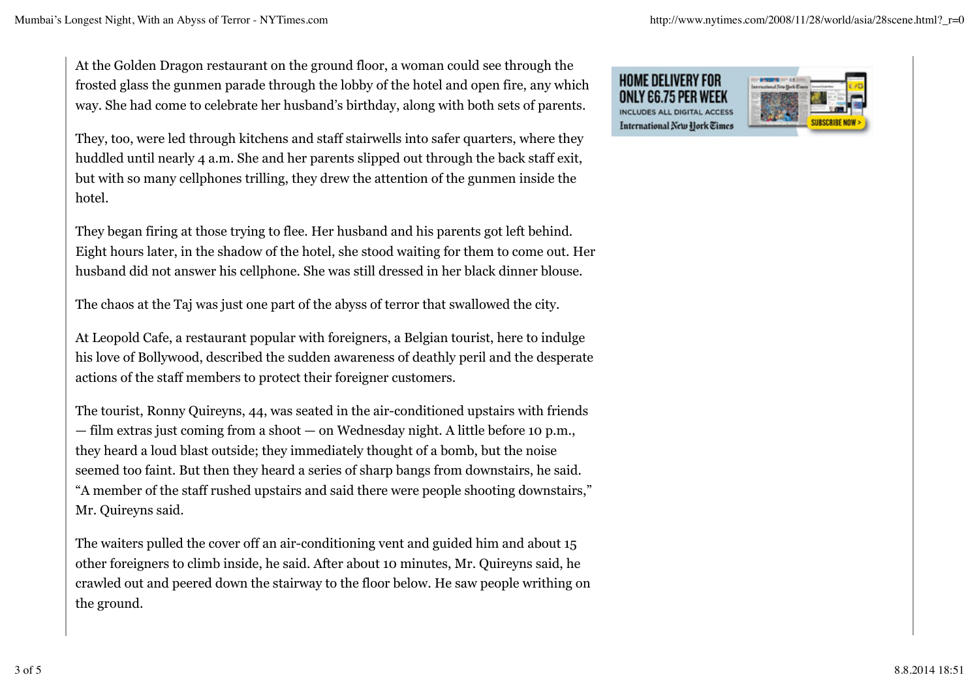At the Golden Dragon restaurant on the ground floor, a woman could see through the frosted glass the gunmen parade through the lobby of the hotel and open fire, any which way. She had come to celebrate her husband's birthday, along with both sets of parents.

They, too, were led through kitchens and staff stairwells into safer quarters, where they huddled until nearly 4 a.m. She and her parents slipped out through the back staff exit, but with so many cellphones trilling, they drew the attention of the gunmen inside the hotel.

They began firing at those trying to flee. Her husband and his parents got left behind. Eight hours later, in the shadow of the hotel, she stood waiting for them to come out. Her husband did not answer his cellphone. She was still dressed in her black dinner blouse.

The chaos at the Taj was just one part of the abyss of terror that swallowed the city.

At Leopold Cafe, a restaurant popular with foreigners, a Belgian tourist, here to indulge his love of Bollywood, described the sudden awareness of deathly peril and the desperate actions of the staff members to protect their foreigner customers.

The tourist, Ronny Quireyns, 44, was seated in the air-conditioned upstairs with friends — film extras just coming from a shoot — on Wednesday night. A little before 10 p.m., they heard a loud blast outside; they immediately thought of a bomb, but the noise seemed too faint. But then they heard a series of sharp bangs from downstairs, he said. "A member of the staff rushed upstairs and said there were people shooting downstairs," Mr. Quireyns said.

The waiters pulled the cover off an air-conditioning vent and guided him and about 15 other foreigners to climb inside, he said. After about 10 minutes, Mr. Quireyns said, he crawled out and peered down the stairway to the floor below. He saw people writhing on the ground.

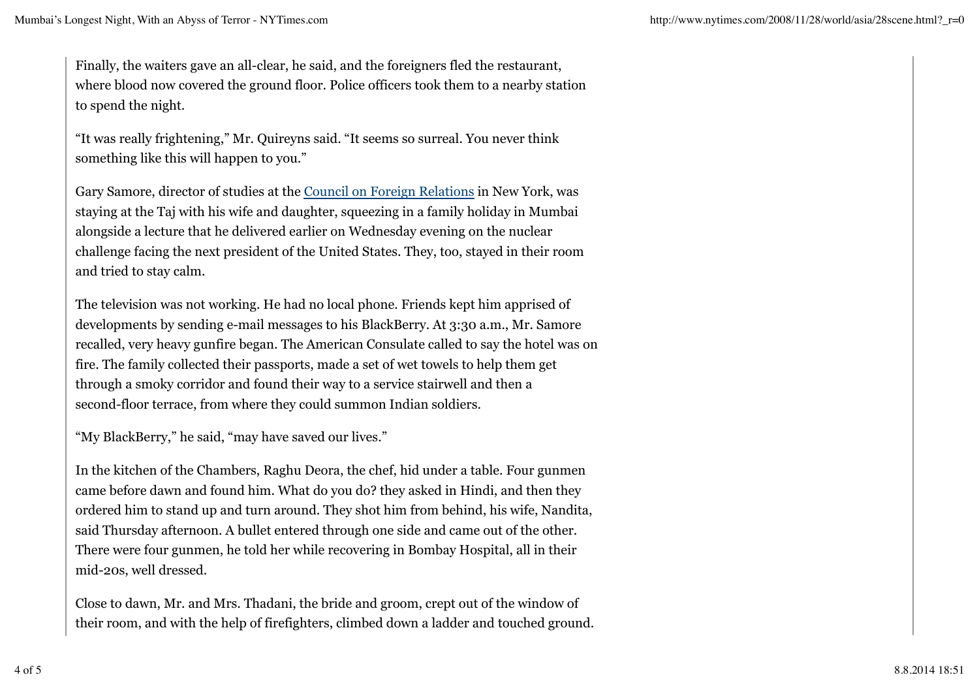Finally, the waiters gave an all-clear, he said, and the foreigners fled the restaurant, where blood now covered the ground floor. Police officers took them to a nearby station to spend the night.

"It was really frightening," Mr. Quireyns said. "It seems so surreal. You never think something like this will happen to you."

Gary Samore, director of studies at the Council on Foreign Relations in New York, was staying at the Taj with his wife and daughter, squeezing in a family holiday in Mumbai alongside a lecture that he delivered earlier on Wednesday evening on the nuclear challenge facing the next president of the United States. They, too, stayed in their room and tried to stay calm.

The television was not working. He had no local phone. Friends kept him apprised of developments by sending e-mail messages to his BlackBerry. At 3:30 a.m., Mr. Samore recalled, very heavy gunfire began. The American Consulate called to say the hotel was on fire. The family collected their passports, made a set of wet towels to help them get through a smoky corridor and found their way to a service stairwell and then a second-floor terrace, from where they could summon Indian soldiers.

"My BlackBerry," he said, "may have saved our lives."

In the kitchen of the Chambers, Raghu Deora, the chef, hid under a table. Four gunmen came before dawn and found him. What do you do? they asked in Hindi, and then they ordered him to stand up and turn around. They shot him from behind, his wife, Nandita, said Thursday afternoon. A bullet entered through one side and came out of the other. There were four gunmen, he told her while recovering in Bombay Hospital, all in their mid-20s, well dressed.

Close to dawn, Mr. and Mrs. Thadani, the bride and groom, crept out of the window of their room, and with the help of firefighters, climbed down a ladder and touched ground.